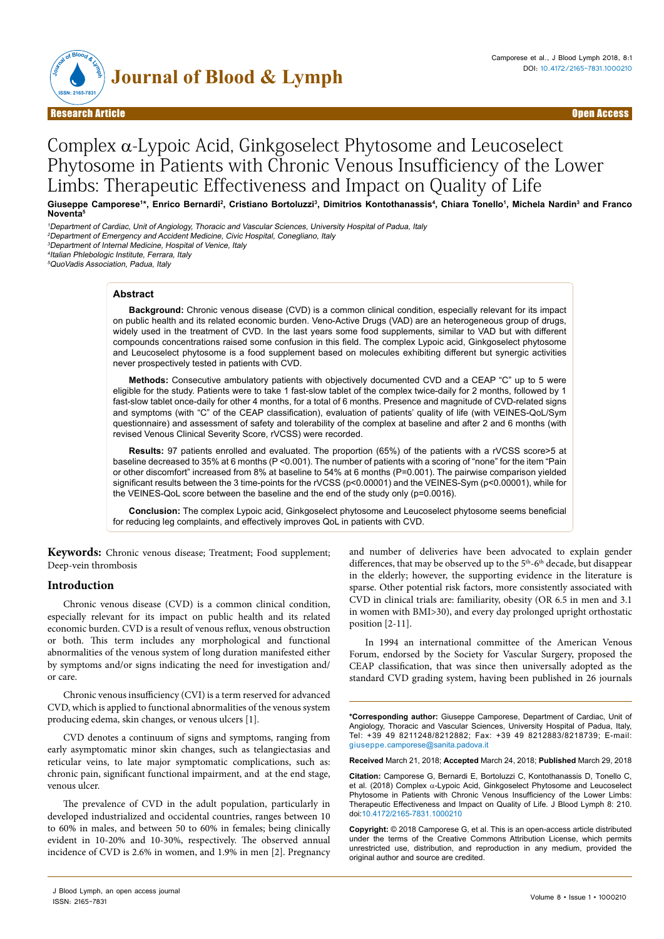

# Complex α-Lypoic Acid, Ginkgoselect Phytosome and Leucoselect Phytosome in Patients with Chronic Venous Insufficiency of the Lower Limbs: Therapeutic Effectiveness and Impact on Quality of Life

Giuseppe Camporese<sup>1</sup>\*, Enrico Bernardi<sup>2</sup>, Cristiano Bortoluzzi<sup>3</sup>, Dimitrios Kontothanassis<sup>4</sup>, Chiara Tonello<sup>1</sup>, Michela Nardin<sup>3</sup> and Franco **Noventa**<sup>5</sup>

<sup>1</sup>Department of Cardiac, Unit of Angiology, Thoracic and Vascular Sciences, University Hospital of Padua, Italy <sup>2</sup>Department of Emergency and Accident Medicine, Civic Hospital, Conegliano, Italy <sup>3</sup>Department of Internal Medicine, Hospital of Venice, Italy

<sup>4</sup>Italian Phlebologic Institute, Ferrara, Italy

<sup>5</sup>QuoVadis Association, Padua, Italy

## **Abstract**

**Background:** Chronic venous disease (CVD) is a common clinical condition, especially relevant for its impact on public health and its related economic burden. Veno-Active Drugs (VAD) are an heterogeneous group of drugs, widely used in the treatment of CVD. In the last years some food supplements, similar to VAD but with different compounds concentrations raised some confusion in this field. The complex Lypoic acid, Ginkgoselect phytosome and Leucoselect phytosome is a food supplement based on molecules exhibiting different but synergic activities never prospectively tested in patients with CVD.

**Methods:** Consecutive ambulatory patients with objectively documented CVD and a CEAP "C" up to 5 were eligible for the study. Patients were to take 1 fast-slow tablet of the complex twice-daily for 2 months, followed by 1 fast-slow tablet once-daily for other 4 months, for a total of 6 months. Presence and magnitude of CVD-related signs and symptoms (with "C" of the CEAP classification), evaluation of patients' quality of life (with VEINES-QoL/Sym questionnaire) and assessment of safety and tolerability of the complex at baseline and after 2 and 6 months (with revised Venous Clinical Severity Score, rVCSS) were recorded.

**Results:** 97 patients enrolled and evaluated. The proportion (65%) of the patients with a rVCSS score>5 at baseline decreased to 35% at 6 months (P <0.001). The number of patients with a scoring of "none" for the item "Pain or other discomfort" increased from 8% at baseline to 54% at 6 months (P=0.001). The pairwise comparison yielded significant results between the 3 time-points for the rVCSS (p<0.00001) and the VEINES-Sym (p<0.00001), while for the VEINES-QoL score between the baseline and the end of the study only (p=0.0016).

**Conclusion:** The complex Lypoic acid, Ginkgoselect phytosome and Leucoselect phytosome seems beneficial for reducing leg complaints, and effectively improves QoL in patients with CVD.

**Keywords:** Chronic venous disease; Treatment; Food supplement; Deep-vein thrombosis

## **Introduction**

Chronic venous disease (CVD) is a common clinical condition, especially relevant for its impact on public health and its related economic burden. CVD is a result of venous reflux, venous obstruction or both. This term includes any morphological and functional abnormalities of the venous system of long duration manifested either by symptoms and/or signs indicating the need for investigation and/ or care.

Chronic venous insufficiency (CVI) is a term reserved for advanced CVD, which is applied to functional abnormalities of the venous system producing edema, skin changes, or venous ulcers [1].

CVD denotes a continuum of signs and symptoms, ranging from early asymptomatic minor skin changes, such as telangiectasias and reticular veins, to late major symptomatic complications, such as: chronic pain, significant functional impairment, and at the end stage, venous ulcer.

The prevalence of CVD in the adult population, particularly in developed industrialized and occidental countries, ranges between 10 to 60% in males, and between 50 to 60% in females; being clinically evident in 10-20% and 10-30%, respectively. The observed annual incidence of CVD is 2.6% in women, and 1.9% in men [2]. Pregnancy and number of deliveries have been advocated to explain gender differences, that may be observed up to the 5<sup>th</sup>-6<sup>th</sup> decade, but disappear in the elderly; however, the supporting evidence in the literature is sparse. Other potential risk factors, more consistently associated with CVD in clinical trials are: familiarity, obesity (OR 6.5 in men and 3.1 in women with BMI>30), and every day prolonged upright orthostatic position [2-11].

In 1994 an international committee of the American Venous Forum, endorsed by the Society for Vascular Surgery, proposed the CEAP classification, that was since then universally adopted as the standard CVD grading system, having been published in 26 journals

**\*Corresponding author:** Giuseppe Camporese, Department of Cardiac, Unit of Angiology, Thoracic and Vascular Sciences, University Hospital of Padua, Italy, Tel: +39 49 8211248/8212882; Fax: +39 49 8212883/8218739; E-mail: giuseppe.camporese@sanita.padova.it

**Received** March 21, 2018; **Accepted** March 24, 2018; **Published** March 29, 2018

**Citation:** Camporese G, Bernardi E, Bortoluzzi C, Kontothanassis D, Tonello C, et al. (2018) Complex α-Lypoic Acid, Ginkgoselect Phytosome and Leucoselect Phytosome in Patients with Chronic Venous Insufficiency of the Lower Limbs: Therapeutic Effectiveness and Impact on Quality of Life. J Blood Lymph 8: 210. doi:10.4172/2165-7831.1000210

**Copyright:** © 2018 Camporese G, et al. This is an open-access article distributed under the terms of the Creative Commons Attribution License, which permits unrestricted use, distribution, and reproduction in any medium, provided the original author and source are credited.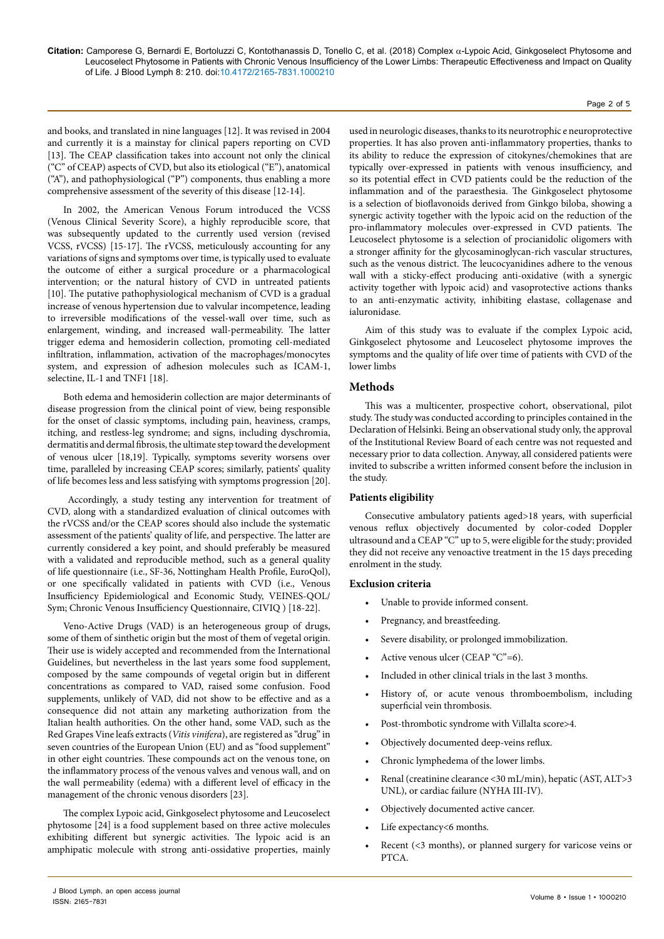and books, and translated in nine languages [12]. It was revised in 2004 and currently it is a mainstay for clinical papers reporting on CVD [13]. The CEAP classification takes into account not only the clinical ("C" of CEAP) aspects of CVD, but also its etiological ("E"), anatomical ("A"), and pathophysiological ("P") components, thus enabling a more comprehensive assessment of the severity of this disease [12-14].

In 2002, the American Venous Forum introduced the VCSS (Venous Clinical Severity Score), a highly reproducible score, that was subsequently updated to the currently used version (revised VCSS, rVCSS) [15-17]. The rVCSS, meticulously accounting for any variations of signs and symptoms over time, is typically used to evaluate the outcome of either a surgical procedure or a pharmacological intervention; or the natural history of CVD in untreated patients [10]. The putative pathophysiological mechanism of CVD is a gradual increase of venous hypertension due to valvular incompetence, leading to irreversible modifications of the vessel-wall over time, such as enlargement, winding, and increased wall-permeability. The latter trigger edema and hemosiderin collection, promoting cell-mediated infiltration, inflammation, activation of the macrophages/monocytes system, and expression of adhesion molecules such as ICAM-1, selectine, IL-1 and TNF1 [18].

Both edema and hemosiderin collection are major determinants of disease progression from the clinical point of view, being responsible for the onset of classic symptoms, including pain, heaviness, cramps, itching, and restless-leg syndrome; and signs, including dyschromia, dermatitis and dermal fibrosis, the ultimate step toward the development of venous ulcer [18,19]. Typically, symptoms severity worsens over time, paralleled by increasing CEAP scores; similarly, patients' quality of life becomes less and less satisfying with symptoms progression [20].

 Accordingly, a study testing any intervention for treatment of CVD, along with a standardized evaluation of clinical outcomes with the rVCSS and/or the CEAP scores should also include the systematic assessment of the patients' quality of life, and perspective. The latter are currently considered a key point, and should preferably be measured with a validated and reproducible method, such as a general quality of life questionnaire (i.e., SF-36, Nottingham Health Profile, EuroQol), or one specifically validated in patients with CVD (i.e., Venous Insufficiency Epidemiological and Economic Study, VEINES-QOL/ Sym; Chronic Venous Insufficiency Questionnaire, CIVIQ ) [18-22].

Veno-Active Drugs (VAD) is an heterogeneous group of drugs, some of them of sinthetic origin but the most of them of vegetal origin. Their use is widely accepted and recommended from the International Guidelines, but nevertheless in the last years some food supplement, composed by the same compounds of vegetal origin but in different concentrations as compared to VAD, raised some confusion. Food supplements, unlikely of VAD, did not show to be effective and as a consequence did not attain any marketing authorization from the Italian health authorities. On the other hand, some VAD, such as the Red Grapes Vine leafs extracts (*Vitis vinifera*), are registered as "drug" in seven countries of the European Union (EU) and as "food supplement" in other eight countries. These compounds act on the venous tone, on the inflammatory process of the venous valves and venous wall, and on the wall permeability (edema) with a different level of efficacy in the management of the chronic venous disorders [23].

The complex Lypoic acid, Ginkgoselect phytosome and Leucoselect phytosome [24] is a food supplement based on three active molecules exhibiting different but synergic activities. The lypoic acid is an amphipatic molecule with strong anti-ossidative properties, mainly

used in neurologic diseases, thanks to its neurotrophic e neuroprotective properties. It has also proven anti-inflammatory properties, thanks to its ability to reduce the expression of citokynes/chemokines that are typically over-expressed in patients with venous insufficiency, and so its potential effect in CVD patients could be the reduction of the inflammation and of the paraesthesia. The Ginkgoselect phytosome is a selection of bioflavonoids derived from Ginkgo biloba, showing a synergic activity together with the lypoic acid on the reduction of the pro-inflammatory molecules over-expressed in CVD patients. The Leucoselect phytosome is a selection of procianidolic oligomers with a stronger affinity for the glycosaminoglycan-rich vascular structures, such as the venous district. The leucocyanidines adhere to the venous wall with a sticky-effect producing anti-oxidative (with a synergic activity together with lypoic acid) and vasoprotective actions thanks to an anti-enzymatic activity, inhibiting elastase, collagenase and ialuronidase.

Aim of this study was to evaluate if the complex Lypoic acid, Ginkgoselect phytosome and Leucoselect phytosome improves the symptoms and the quality of life over time of patients with CVD of the lower limbs

# **Methods**

This was a multicenter, prospective cohort, observational, pilot study. The study was conducted according to principles contained in the Declaration of Helsinki. Being an observational study only, the approval of the Institutional Review Board of each centre was not requested and necessary prior to data collection. Anyway, all considered patients were invited to subscribe a written informed consent before the inclusion in the study.

## **Patients eligibility**

Consecutive ambulatory patients aged>18 years, with superficial venous reflux objectively documented by color-coded Doppler ultrasound and a CEAP "C" up to 5, were eligible for the study; provided they did not receive any venoactive treatment in the 15 days preceding enrolment in the study.

## **Exclusion criteria**

- Unable to provide informed consent.
- Pregnancy, and breastfeeding.
- Severe disability, or prolonged immobilization.
- Active venous ulcer (CEAP "C"=6).
- Included in other clinical trials in the last 3 months.
- History of, or acute venous thromboembolism, including superficial vein thrombosis.
- Post-thrombotic syndrome with Villalta score>4.
- Objectively documented deep-veins reflux.
- Chronic lymphedema of the lower limbs.
- Renal (creatinine clearance <30 mL/min), hepatic (AST, ALT>3 UNL), or cardiac failure (NYHA III-IV).
- Objectively documented active cancer.
- Life expectancy<6 months.
- Recent (<3 months), or planned surgery for varicose veins or PTCA.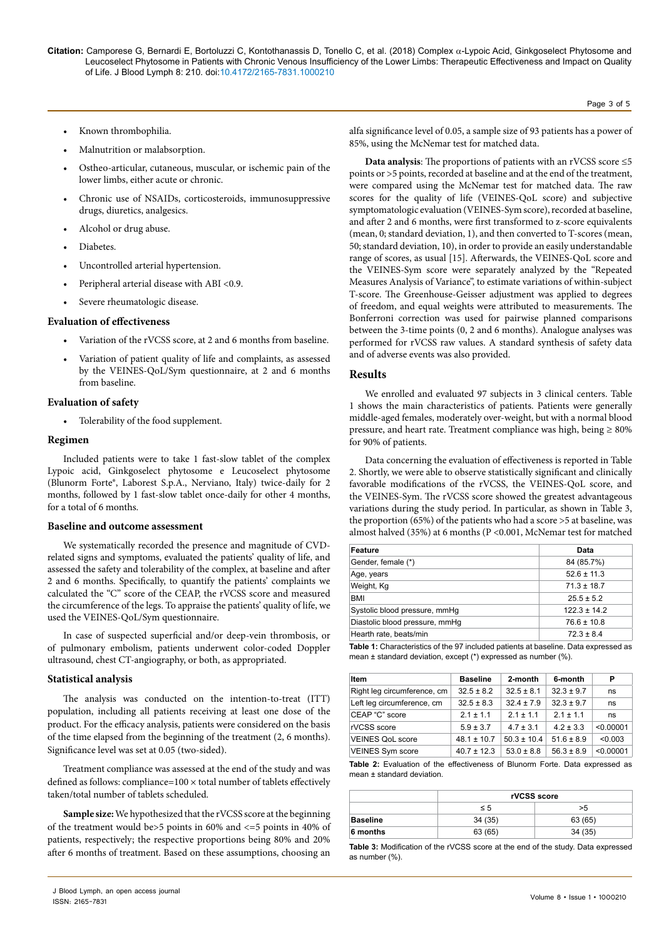- Known thrombophilia.
- Malnutrition or malabsorption.
- Ostheo-articular, cutaneous, muscular, or ischemic pain of the lower limbs, either acute or chronic.
- Chronic use of NSAIDs, corticosteroids, immunosuppressive drugs, diuretics, analgesics.
- Alcohol or drug abuse.
- Diabetes.
- Uncontrolled arterial hypertension.
- Peripheral arterial disease with ABI <0.9.
- Severe rheumatologic disease.

#### **Evaluation of effectiveness**

- Variation of the rVCSS score, at 2 and 6 months from baseline.
- Variation of patient quality of life and complaints, as assessed by the VEINES-QoL/Sym questionnaire, at 2 and 6 months from baseline.

#### **Evaluation of safety**

• Tolerability of the food supplement.

#### **Regimen**

Included patients were to take 1 fast-slow tablet of the complex Lypoic acid, Ginkgoselect phytosome e Leucoselect phytosome (Blunorm Forte®, Laborest S.p.A., Nerviano, Italy) twice-daily for 2 months, followed by 1 fast-slow tablet once-daily for other 4 months, for a total of 6 months.

#### **Baseline and outcome assessment**

We systematically recorded the presence and magnitude of CVDrelated signs and symptoms, evaluated the patients' quality of life, and assessed the safety and tolerability of the complex, at baseline and after 2 and 6 months. Specifically, to quantify the patients' complaints we calculated the "C" score of the CEAP, the rVCSS score and measured the circumference of the legs. To appraise the patients' quality of life, we used the VEINES-QoL/Sym questionnaire.

In case of suspected superficial and/or deep-vein thrombosis, or of pulmonary embolism, patients underwent color-coded Doppler ultrasound, chest CT-angiography, or both, as appropriated.

#### **Statistical analysis**

The analysis was conducted on the intention-to-treat (ITT) population, including all patients receiving at least one dose of the product. For the efficacy analysis, patients were considered on the basis of the time elapsed from the beginning of the treatment (2, 6 months). Significance level was set at 0.05 (two-sided).

Treatment compliance was assessed at the end of the study and was defined as follows: compliance= $100 \times$  total number of tablets effectively taken/total number of tablets scheduled.

**Sample size:** We hypothesized that the rVCSS score at the beginning of the treatment would be>5 points in 60% and <=5 points in 40% of patients, respectively; the respective proportions being 80% and 20% after 6 months of treatment. Based on these assumptions, choosing an

alfa significance level of 0.05, a sample size of 93 patients has a power of 85%, using the McNemar test for matched data.

**Data analysis**: The proportions of patients with an rVCSS score ≤5 points or >5 points, recorded at baseline and at the end of the treatment, were compared using the McNemar test for matched data. The raw scores for the quality of life (VEINES-QoL score) and subjective symptomatologic evaluation (VEINES-Sym score), recorded at baseline, and after 2 and 6 months, were first transformed to z-score equivalents (mean, 0; standard deviation, 1), and then converted to T-scores (mean, 50; standard deviation, 10), in order to provide an easily understandable range of scores, as usual [15]. Afterwards, the VEINES-QoL score and the VEINES-Sym score were separately analyzed by the "Repeated Measures Analysis of Variance", to estimate variations of within-subject T-score. The Greenhouse-Geisser adjustment was applied to degrees of freedom, and equal weights were attributed to measurements. The Bonferroni correction was used for pairwise planned comparisons between the 3-time points (0, 2 and 6 months). Analogue analyses was performed for rVCSS raw values. A standard synthesis of safety data and of adverse events was also provided.

## **Results**

We enrolled and evaluated 97 subjects in 3 clinical centers. Table 1 shows the main characteristics of patients. Patients were generally middle-aged females, moderately over-weight, but with a normal blood pressure, and heart rate. Treatment compliance was high, being ≥ 80% for 90% of patients.

Data concerning the evaluation of effectiveness is reported in Table 2. Shortly, we were able to observe statistically significant and clinically favorable modifications of the rVCSS, the VEINES-QoL score, and the VEINES-Sym. The rVCSS score showed the greatest advantageous variations during the study period. In particular, as shown in Table 3, the proportion (65%) of the patients who had a score >5 at baseline, was almost halved (35%) at 6 months (P <0.001, McNemar test for matched

| Feature                        | Data             |
|--------------------------------|------------------|
| Gender, female (*)             | 84 (85.7%)       |
| Age, years                     | $52.6 \pm 11.3$  |
| Weight, Kg                     | $71.3 \pm 18.7$  |
| <b>BMI</b>                     | $25.5 \pm 5.2$   |
| Systolic blood pressure, mmHg  | $122.3 \pm 14.2$ |
| Diastolic blood pressure, mmHq | $76.6 \pm 10.8$  |
| Hearth rate, beats/min         | $72.3 \pm 8.4$   |

**Table 1:** Characteristics of the 97 included patients at baseline. Data expressed as mean ± standard deviation, except (\*) expressed as number (%).

| Item                        | <b>Baseline</b> | 2-month         | 6-month        | Р         |
|-----------------------------|-----------------|-----------------|----------------|-----------|
| Right leg circumference, cm | $32.5 \pm 8.2$  | $32.5 \pm 8.1$  | $32.3 \pm 9.7$ | ns        |
| Left leg circumference, cm  | $32.5 \pm 8.3$  | $32.4 \pm 7.9$  | $32.3 \pm 9.7$ | ns        |
| CEAP "C" score              | $2.1 \pm 1.1$   | $21 + 11$       | $2.1 \pm 1.1$  | ns        |
| rVCSS score                 | $5.9 \pm 3.7$   | $4.7 \pm 3.1$   | $4.2 \pm 3.3$  | < 0.00001 |
| <b>VEINES QoL score</b>     | $48.1 \pm 10.7$ | $50.3 \pm 10.4$ | $51.6 \pm 8.9$ | < 0.003   |
| <b>VEINES Sym score</b>     | $40.7 \pm 12.3$ | $53.0 \pm 8.8$  | $56.3 \pm 8.9$ | < 0.00001 |

**Table 2:** Evaluation of the effectiveness of Blunorm Forte. Data expressed as mean ± standard deviation.

|                 | rVCSS score |         |  |
|-----------------|-------------|---------|--|
|                 | $\leq 5$    | >5      |  |
| <b>Baseline</b> | 34(35)      | 63 (65) |  |
| 6 months        | 63 (65)     | 34(35)  |  |

**Table 3:** Modification of the rVCSS score at the end of the study. Data expressed as number (%).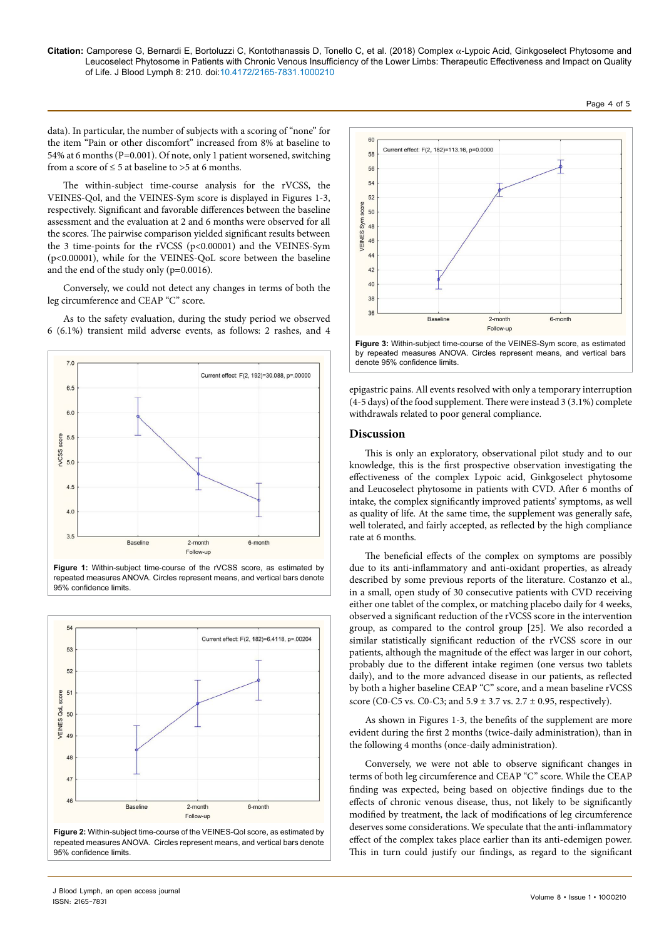#### **Citation:** Camporese G, Bernardi E, Bortoluzzi C, Kontothanassis D, Tonello C, et al. (2018) Complex α-Lypoic Acid, Ginkgoselect Phytosome and Leucoselect Phytosome in Patients with Chronic Venous Insufficiency of the Lower Limbs: Therapeutic Effectiveness and Impact on Quality of Life. J Blood Lymph 8: 210. doi:10.4172/2165-7831.1000210

data). In particular, the number of subjects with a scoring of "none" for the item "Pain or other discomfort" increased from 8% at baseline to 54% at 6 months (P=0.001). Of note, only 1 patient worsened, switching from a score of  $\leq 5$  at baseline to >5 at 6 months.

The within-subject time-course analysis for the rVCSS, the VEINES-Qol, and the VEINES-Sym score is displayed in Figures 1-3, respectively. Significant and favorable differences between the baseline assessment and the evaluation at 2 and 6 months were observed for all the scores. The pairwise comparison yielded significant results between the 3 time-points for the rVCSS (p<0.00001) and the VEINES-Sym (p<0.00001), while for the VEINES-QoL score between the baseline and the end of the study only (p=0.0016).

Conversely, we could not detect any changes in terms of both the leg circumference and CEAP "C" score.

As to the safety evaluation, during the study period we observed 6 (6.1%) transient mild adverse events, as follows: 2 rashes, and 4



**Figure 1:** Within-subject time-course of the rVCSS score, as estimated by repeated measures ANOVA. Circles represent means, and vertical bars denote 95% confidence limits.



**Figure 2:** Within-subject time-course of the VEINES-Qol score, as estimated by repeated measures ANOVA. Circles represent means, and vertical bars denote 95% confidence limits.





epigastric pains. All events resolved with only a temporary interruption (4-5 days) of the food supplement. There were instead 3 (3.1%) complete withdrawals related to poor general compliance.

#### **Discussion**

This is only an exploratory, observational pilot study and to our knowledge, this is the first prospective observation investigating the effectiveness of the complex Lypoic acid, Ginkgoselect phytosome and Leucoselect phytosome in patients with CVD. After 6 months of intake, the complex significantly improved patients' symptoms, as well as quality of life. At the same time, the supplement was generally safe, well tolerated, and fairly accepted, as reflected by the high compliance rate at 6 months.

The beneficial effects of the complex on symptoms are possibly due to its anti-inflammatory and anti-oxidant properties, as already described by some previous reports of the literature. Costanzo et al., in a small, open study of 30 consecutive patients with CVD receiving either one tablet of the complex, or matching placebo daily for 4 weeks, observed a significant reduction of the rVCSS score in the intervention group, as compared to the control group [25]. We also recorded a similar statistically significant reduction of the rVCSS score in our patients, although the magnitude of the effect was larger in our cohort, probably due to the different intake regimen (one versus two tablets daily), and to the more advanced disease in our patients, as reflected by both a higher baseline CEAP "C" score, and a mean baseline rVCSS score (C0-C5 vs. C0-C3; and  $5.9 \pm 3.7$  vs.  $2.7 \pm 0.95$ , respectively).

As shown in Figures 1-3, the benefits of the supplement are more evident during the first 2 months (twice-daily administration), than in the following 4 months (once-daily administration).

Conversely, we were not able to observe significant changes in terms of both leg circumference and CEAP "C" score. While the CEAP finding was expected, being based on objective findings due to the effects of chronic venous disease, thus, not likely to be significantly modified by treatment, the lack of modifications of leg circumference deserves some considerations. We speculate that the anti-inflammatory effect of the complex takes place earlier than its anti-edemigen power. This in turn could justify our findings, as regard to the significant